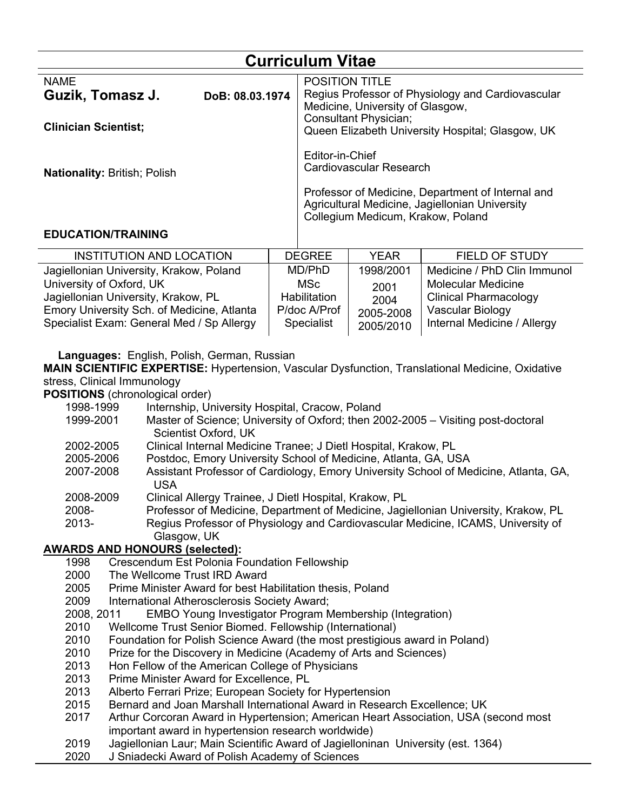| <b>Curriculum Vitae</b>         |                 |                                                                                                                                          |  |  |  |
|---------------------------------|-----------------|------------------------------------------------------------------------------------------------------------------------------------------|--|--|--|
| <b>NAME</b><br>Guzik, Tomasz J. | DoB: 08.03.1974 | <b>POSITION TITLE</b><br>Regius Professor of Physiology and Cardiovascular<br>Medicine, University of Glasgow,                           |  |  |  |
| <b>Clinician Scientist;</b>     |                 | Consultant Physician;<br>Queen Elizabeth University Hospital; Glasgow, UK                                                                |  |  |  |
| Nationality: British; Polish    |                 | Editor-in-Chief<br>Cardiovascular Research                                                                                               |  |  |  |
|                                 |                 | Professor of Medicine, Department of Internal and<br>Agricultural Medicine, Jagiellonian University<br>Collegium Medicum, Krakow, Poland |  |  |  |

#### **EDUCATION/TRAINING**

| <b>INSTITUTION AND LOCATION</b>            | <b>DEGREE</b> | <b>YFAR</b> | <b>FIELD OF STUDY</b>        |
|--------------------------------------------|---------------|-------------|------------------------------|
| Jagiellonian University, Krakow, Poland    | MD/PhD        | 1998/2001   | Medicine / PhD Clin Immunol  |
| University of Oxford, UK                   | MSc           | 2001        | <b>Molecular Medicine</b>    |
| Jagiellonian University, Krakow, PL        | Habilitation  | 2004        | <b>Clinical Pharmacology</b> |
| Emory University Sch. of Medicine, Atlanta | P/doc A/Prof  | 2005-2008   | Vascular Biology             |
| Specialist Exam: General Med / Sp Allergy  | Specialist    | 2005/2010   | Internal Medicine / Allergy  |

**Languages:** English, Polish, German, Russian

**MAIN SCIENTIFIC EXPERTISE:** Hypertension, Vascular Dysfunction, Translational Medicine, Oxidative stress, Clinical Immunology

**POSITIONS** (chronological order)

- 1998-1999 Internship, University Hospital, Cracow, Poland
- 1999-2001 Master of Science; University of Oxford; then 2002-2005 Visiting post-doctoral Scientist Oxford, UK
- 2002-2005 Clinical Internal Medicine Tranee; J Dietl Hospital, Krakow, PL
- 2005-2006 Postdoc, Emory University School of Medicine, Atlanta, GA, USA
- 2007-2008 Assistant Professor of Cardiology, Emory University School of Medicine, Atlanta, GA, USA
- 2008-2009 Clinical Allergy Trainee, J Dietl Hospital, Krakow, PL
- 2008- Professor of Medicine, Department of Medicine, Jagiellonian University, Krakow, PL
- 2013- Regius Professor of Physiology and Cardiovascular Medicine, ICAMS, University of Glasgow, UK

## **AWARDS AND HONOURS (selected):**

- 1998 Crescendum Est Polonia Foundation Fellowship
- 2000 The Wellcome Trust IRD Award
- 2005 Prime Minister Award for best Habilitation thesis, Poland
- 2009 International Atherosclerosis Society Award;
- 2008, 2011 EMBO Young Investigator Program Membership (Integration)
- 2010 Wellcome Trust Senior Biomed. Fellowship (International)
- 2010 Foundation for Polish Science Award (the most prestigious award in Poland)
- 2010 Prize for the Discovery in Medicine (Academy of Arts and Sciences)
- 2013 Hon Fellow of the American College of Physicians
- 2013 Prime Minister Award for Excellence, PL
- 2013 Alberto Ferrari Prize; European Society for Hypertension
- 2015 Bernard and Joan Marshall International Award in Research Excellence; UK
- 2017 Arthur Corcoran Award in Hypertension; American Heart Association, USA (second most important award in hypertension research worldwide)
- 2019 Jagiellonian Laur; Main Scientific Award of Jagielloninan University (est. 1364)
- 2020 J Sniadecki Award of Polish Academy of Sciences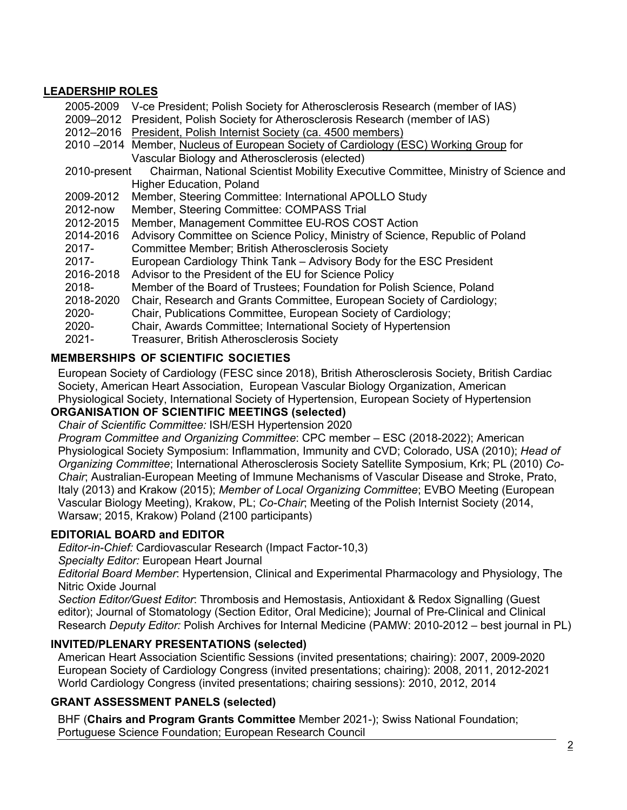#### **LEADERSHIP ROLES**

| 2005-2009    | V-ce President; Polish Society for Atherosclerosis Research (member of IAS)         |
|--------------|-------------------------------------------------------------------------------------|
|              | 2009–2012 President, Polish Society for Atherosclerosis Research (member of IAS)    |
|              | 2012–2016 President, Polish Internist Society (ca. 4500 members)                    |
|              | 2010–2014 Member, Nucleus of European Society of Cardiology (ESC) Working Group for |
|              | Vascular Biology and Atherosclerosis (elected)                                      |
| 2010-present | Chairman, National Scientist Mobility Executive Committee, Ministry of Science and  |
|              | <b>Higher Education, Poland</b>                                                     |
| 2009-2012    | Member, Steering Committee: International APOLLO Study                              |
| 2012-now     | Member, Steering Committee: COMPASS Trial                                           |
| 2012-2015    | Member, Management Committee EU-ROS COST Action                                     |
| 2014-2016    | Advisory Committee on Science Policy, Ministry of Science, Republic of Poland       |
| $2017 -$     | <b>Committee Member; British Atherosclerosis Society</b>                            |
| $2017 -$     | European Cardiology Think Tank – Advisory Body for the ESC President                |
| 2016-2018    | Advisor to the President of the EU for Science Policy                               |
| 2018-        | Member of the Board of Trustees; Foundation for Polish Science, Poland              |
| 2018-2020    | Chair, Research and Grants Committee, European Society of Cardiology;               |
| 2020-        | Chair, Publications Committee, European Society of Cardiology;                      |
| 2020-        | Chair, Awards Committee; International Society of Hypertension                      |
| $2021 -$     | <b>Treasurer, British Atherosclerosis Society</b>                                   |

#### **MEMBERSHIPS OF SCIENTIFIC SOCIETIES**

European Society of Cardiology (FESC since 2018), British Atherosclerosis Society, British Cardiac Society, American Heart Association, European Vascular Biology Organization, American Physiological Society, International Society of Hypertension, European Society of Hypertension

# **ORGANISATION OF SCIENTIFIC MEETINGS (selected)**

*Chair of Scientific Committee:* ISH/ESH Hypertension 2020

*Program Committee and Organizing Committee*: CPC member – ESC (2018-2022); American Physiological Society Symposium: Inflammation, Immunity and CVD; Colorado, USA (2010); *Head of Organizing Committee*; International Atherosclerosis Society Satellite Symposium, Krk; PL (2010) *Co-Chair*; Australian-European Meeting of Immune Mechanisms of Vascular Disease and Stroke, Prato, Italy (2013) and Krakow (2015); *Member of Local Organizing Committee*; EVBO Meeting (European Vascular Biology Meeting), Krakow, PL; *Co-Chair*; Meeting of the Polish Internist Society (2014, Warsaw; 2015, Krakow) Poland (2100 participants)

## **EDITORIAL BOARD and EDITOR**

*Editor-in-Chief:* Cardiovascular Research (Impact Factor-10,3)

*Specialty Editor:* European Heart Journal

*Editorial Board Member*: Hypertension, Clinical and Experimental Pharmacology and Physiology, The Nitric Oxide Journal

*Section Editor/Guest Editor*: Thrombosis and Hemostasis, Antioxidant & Redox Signalling (Guest editor); Journal of Stomatology (Section Editor, Oral Medicine); Journal of Pre-Clinical and Clinical Research *Deputy Editor:* Polish Archives for Internal Medicine (PAMW: 2010-2012 – best journal in PL)

## **INVITED/PLENARY PRESENTATIONS (selected)**

American Heart Association Scientific Sessions (invited presentations; chairing): 2007, 2009-2020 European Society of Cardiology Congress (invited presentations; chairing): 2008, 2011, 2012-2021 World Cardiology Congress (invited presentations; chairing sessions): 2010, 2012, 2014

## **GRANT ASSESSMENT PANELS (selected)**

BHF (**Chairs and Program Grants Committee** Member 2021-); Swiss National Foundation; Portuguese Science Foundation; European Research Council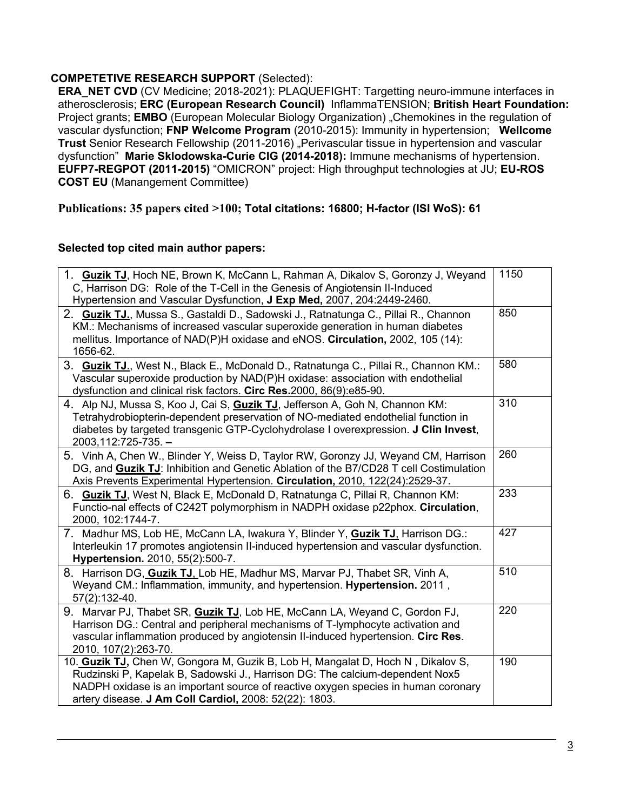## **COMPETETIVE RESEARCH SUPPORT** (Selected):

**ERA\_NET CVD** (CV Medicine; 2018-2021): PLAQUEFIGHT: Targetting neuro-immune interfaces in atherosclerosis; **ERC (European Research Council)** InflammaTENSION; **British Heart Foundation:**  Project grants; **EMBO** (European Molecular Biology Organization) "Chemokines in the regulation of vascular dysfunction; **FNP Welcome Program** (2010-2015): Immunity in hypertension; **Wellcome**  Trust Senior Research Fellowship (2011-2016) "Perivascular tissue in hypertension and vascular dysfunction" **Marie Sklodowska-Curie CIG (2014-2018):** Immune mechanisms of hypertension. **EUFP7-REGPOT (2011-2015)** "OMICRON" project: High throughput technologies at JU; **EU-ROS COST EU** (Manangement Committee)

## **Publications: 35 papers cited >100; Total citations: 16800; H-factor (ISI WoS): 61**

#### **Selected top cited main author papers:**

| 1. Guzik TJ, Hoch NE, Brown K, McCann L, Rahman A, Dikalov S, Goronzy J, Weyand<br>C, Harrison DG: Role of the T-Cell in the Genesis of Angiotensin II-Induced<br>Hypertension and Vascular Dysfunction, J Exp Med, 2007, 204:2449-2460.                                                                       | 1150 |
|----------------------------------------------------------------------------------------------------------------------------------------------------------------------------------------------------------------------------------------------------------------------------------------------------------------|------|
| 2. Guzik TJ., Mussa S., Gastaldi D., Sadowski J., Ratnatunga C., Pillai R., Channon<br>KM.: Mechanisms of increased vascular superoxide generation in human diabetes<br>mellitus. Importance of NAD(P)H oxidase and eNOS. Circulation, 2002, 105 (14):<br>1656-62.                                             | 850  |
| 3. Guzik TJ., West N., Black E., McDonald D., Ratnatunga C., Pillai R., Channon KM.:<br>Vascular superoxide production by NAD(P)H oxidase: association with endothelial<br>dysfunction and clinical risk factors. Circ Res.2000, 86(9):e85-90.                                                                 | 580  |
| 4. Alp NJ, Mussa S, Koo J, Cai S, Guzik TJ, Jefferson A, Goh N, Channon KM:<br>Tetrahydrobiopterin-dependent preservation of NO-mediated endothelial function in<br>diabetes by targeted transgenic GTP-Cyclohydrolase I overexpression. J Clin Invest,<br>2003,112:725-735. -                                 | 310  |
| 5. Vinh A, Chen W., Blinder Y, Weiss D, Taylor RW, Goronzy JJ, Weyand CM, Harrison<br>DG, and Guzik TJ: Inhibition and Genetic Ablation of the B7/CD28 T cell Costimulation<br>Axis Prevents Experimental Hypertension. Circulation, 2010, 122(24):2529-37.                                                    | 260  |
| 6. Guzik TJ, West N, Black E, McDonald D, Ratnatunga C, Pillai R, Channon KM:<br>Functio-nal effects of C242T polymorphism in NADPH oxidase p22phox. Circulation,<br>2000, 102:1744-7.                                                                                                                         | 233  |
| 7. Madhur MS, Lob HE, McCann LA, Iwakura Y, Blinder Y, Guzik TJ, Harrison DG.:<br>Interleukin 17 promotes angiotensin II-induced hypertension and vascular dysfunction.<br>Hypertension. 2010, 55(2):500-7.                                                                                                    | 427  |
| 8. Harrison DG, Guzik TJ, Lob HE, Madhur MS, Marvar PJ, Thabet SR, Vinh A,<br>Weyand CM.: Inflammation, immunity, and hypertension. Hypertension. 2011,<br>57(2):132-40.                                                                                                                                       | 510  |
| 9. Marvar PJ, Thabet SR, Guzik TJ, Lob HE, McCann LA, Weyand C, Gordon FJ,<br>Harrison DG.: Central and peripheral mechanisms of T-lymphocyte activation and<br>vascular inflammation produced by angiotensin II-induced hypertension. Circ Res.<br>2010, 107(2):263-70.                                       | 220  |
| 10. Guzik TJ, Chen W, Gongora M, Guzik B, Lob H, Mangalat D, Hoch N, Dikalov S,<br>Rudzinski P, Kapelak B, Sadowski J., Harrison DG: The calcium-dependent Nox5<br>NADPH oxidase is an important source of reactive oxygen species in human coronary<br>artery disease. J Am Coll Cardiol, 2008: 52(22): 1803. | 190  |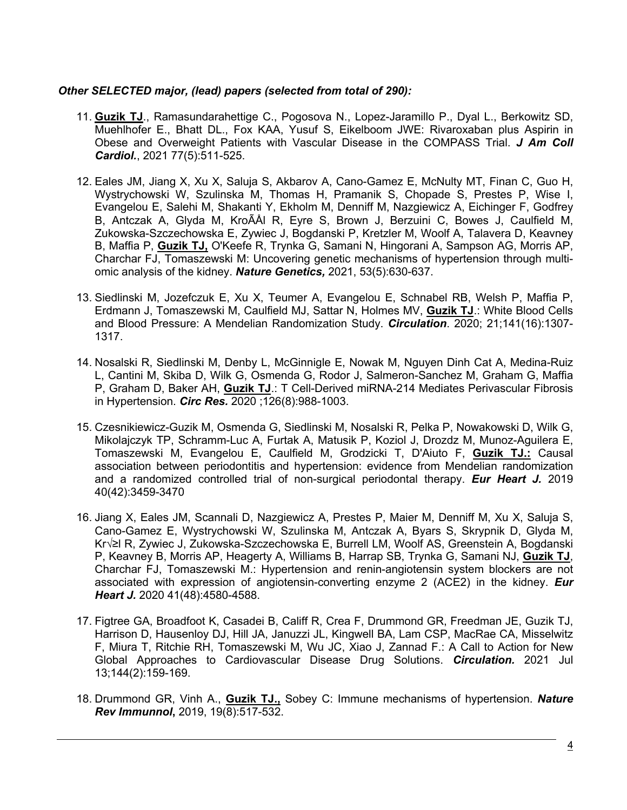#### *Other SELECTED major, (lead) papers (selected from total of 290):*

- 11. **Guzik TJ**., Ramasundarahettige C., Pogosova N., Lopez-Jaramillo P., Dyal L., Berkowitz SD, Muehlhofer E., Bhatt DL., Fox KAA, Yusuf S, Eikelboom JWE: Rivaroxaban plus Aspirin in Obese and Overweight Patients with Vascular Disease in the COMPASS Trial. *J Am Coll Cardiol.*, 2021 77(5):511-525.
- 12. Eales JM, Jiang X, Xu X, Saluja S, Akbarov A, Cano-Gamez E, McNulty MT, Finan C, Guo H, Wystrychowski W, Szulinska M, Thomas H, Pramanik S, Chopade S, Prestes P, Wise I, Evangelou E, Salehi M, Shakanti Y, Ekholm M, Denniff M, Nazgiewicz A, Eichinger F, Godfrey B, Antczak A, Glyda M, KroÃÅl R, Eyre S, Brown J, Berzuini C, Bowes J, Caulfield M, Zukowska-Szczechowska E, Zywiec J, Bogdanski P, Kretzler M, Woolf A, Talavera D, Keavney B, Maffia P, **Guzik TJ,** O'Keefe R, Trynka G, Samani N, Hingorani A, Sampson AG, Morris AP, Charchar FJ, Tomaszewski M: Uncovering genetic mechanisms of hypertension through multiomic analysis of the kidney. *Nature Genetics,* 2021, 53(5):630-637.
- 13. Siedlinski M, Jozefczuk E, Xu X, Teumer A, Evangelou E, Schnabel RB, Welsh P, Maffia P, Erdmann J, Tomaszewski M, Caulfield MJ, Sattar N, Holmes MV, **Guzik TJ**.: White Blood Cells and Blood Pressure: A Mendelian Randomization Study. *Circulation*. 2020; 21;141(16):1307- 1317.
- 14. Nosalski R, Siedlinski M, Denby L, McGinnigle E, Nowak M, Nguyen Dinh Cat A, Medina-Ruiz L, Cantini M, Skiba D, Wilk G, Osmenda G, Rodor J, Salmeron-Sanchez M, Graham G, Maffia P, Graham D, Baker AH, **Guzik TJ**.: T Cell-Derived miRNA-214 Mediates Perivascular Fibrosis in Hypertension. *Circ Res.* 2020 ;126(8):988-1003.
- 15. Czesnikiewicz-Guzik M, Osmenda G, Siedlinski M, Nosalski R, Pelka P, Nowakowski D, Wilk G, Mikolajczyk TP, Schramm-Luc A, Furtak A, Matusik P, Koziol J, Drozdz M, Munoz-Aguilera E, Tomaszewski M, Evangelou E, Caulfield M, Grodzicki T, D'Aiuto F, **Guzik TJ.:** Causal association between periodontitis and hypertension: evidence from Mendelian randomization and a randomized controlled trial of non-surgical periodontal therapy. *Eur Heart J.* 2019 40(42):3459-3470
- 16. Jiang X, Eales JM, Scannali D, Nazgiewicz A, Prestes P, Maier M, Denniff M, Xu X, Saluja S, Cano-Gamez E, Wystrychowski W, Szulinska M, Antczak A, Byars S, Skrypnik D, Glyda M, Król R, Zywiec J, Zukowska-Szczechowska E, Burrell LM, Woolf AS, Greenstein A, Bogdanski P, Keavney B, Morris AP, Heagerty A, Williams B, Harrap SB, Trynka G, Samani NJ, **Guzik TJ**, Charchar FJ, Tomaszewski M.: Hypertension and renin-angiotensin system blockers are not associated with expression of angiotensin-converting enzyme 2 (ACE2) in the kidney. *Eur Heart J.* 2020 41(48):4580-4588.
- 17. Figtree GA, Broadfoot K, Casadei B, Califf R, Crea F, Drummond GR, Freedman JE, Guzik TJ, Harrison D, Hausenloy DJ, Hill JA, Januzzi JL, Kingwell BA, Lam CSP, MacRae CA, Misselwitz F, Miura T, Ritchie RH, Tomaszewski M, Wu JC, Xiao J, Zannad F.: A Call to Action for New Global Approaches to Cardiovascular Disease Drug Solutions. *Circulation.* 2021 Jul 13;144(2):159-169.
- 18. Drummond GR, Vinh A., **Guzik TJ.,** Sobey C: Immune mechanisms of hypertension. *Nature Rev Immunnol***,** 2019, 19(8):517-532.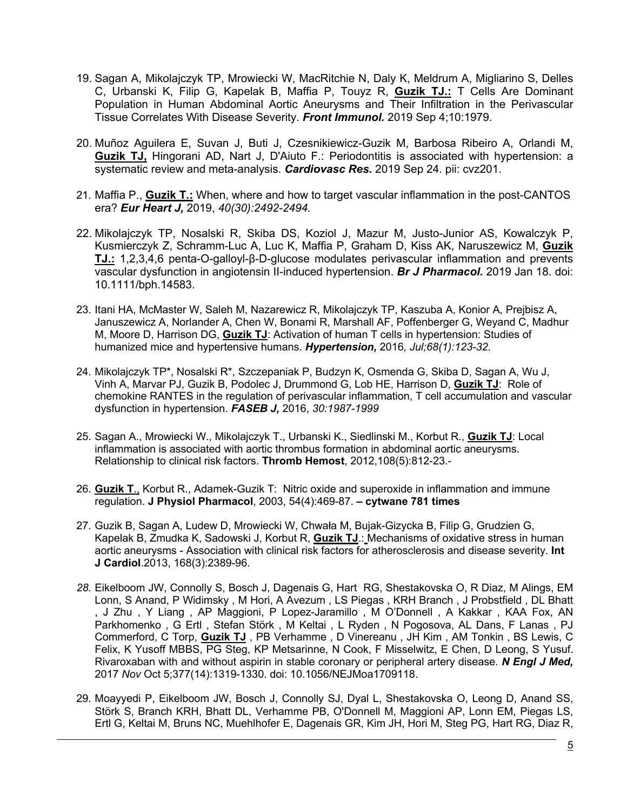- 19. Sagan A, Mikolajczyk TP, Mrowiecki W, MacRitchie N, Daly K, Meldrum A, Migliarino S, Delles C, Urbanski K, Filip G, Kapelak B, Maffia P, Touyz R, **Guzik TJ.:** T Cells Are Dominant Population in Human Abdominal Aortic Aneurysms and Their Infiltration in the Perivascular Tissue Correlates With Disease Severity. *Front Immunol.* 2019 Sep 4;10:1979.
- 20. Muñoz Aguilera E, Suvan J, Buti J, Czesnikiewicz-Guzik M, Barbosa Ribeiro A, Orlandi M, **Guzik TJ,** Hingorani AD, Nart J, D'Aiuto F.: Periodontitis is associated with hypertension: a systematic review and meta-analysis. *Cardiovasc Res.* 2019 Sep 24. pii: cvz201.
- 21. Maffia P., **Guzik T.:** When, where and how to target vascular inflammation in the post-CANTOS era? *Eur Heart J,* 2019, *40(30):2492-2494.*
- 22. Mikolajczyk TP, Nosalski R, Skiba DS, Koziol J, Mazur M, Justo-Junior AS, Kowalczyk P, Kusmierczyk Z, Schramm-Luc A, Luc K, Maffia P, Graham D, Kiss AK, Naruszewicz M, **Guzik TJ.:** 1,2,3,4,6 penta-O-galloyl-β-D-glucose modulates perivascular inflammation and prevents vascular dysfunction in angiotensin II-induced hypertension. *Br J Pharmacol.* 2019 Jan 18. doi: 10.1111/bph.14583.
- 23. Itani HA, McMaster W, Saleh M, Nazarewicz R, Mikolajczyk TP, Kaszuba A, Konior A, Prejbisz A, Januszewicz A, Norlander A, Chen W, Bonami R, Marshall AF, Poffenberger G, Weyand C, Madhur M, Moore D, Harrison DG, **Guzik TJ**: Activation of human T cells in hypertension: Studies of humanized mice and hypertensive humans. *Hypertension,* 2016*, Jul;68(1):123-32.*
- 24. Mikolajczyk TP\*, Nosalski R\*, Szczepaniak P, Budzyn K, Osmenda G, Skiba D, Sagan A, Wu J, Vinh A, Marvar PJ, Guzik B, Podolec J, Drummond G, Lob HE, Harrison D, **Guzik TJ**: Role of chemokine RANTES in the regulation of perivascular inflammation, T cell accumulation and vascular dysfunction in hypertension. *FASEB J,* 2016, *30:1987-1999*
- 25. Sagan A., Mrowiecki W., Mikolajczyk T., Urbanski K., Siedlinski M., Korbut R., **Guzik TJ**: Local inflammation is associated with aortic thrombus formation in abdominal aortic aneurysms. Relationship to clinical risk factors. **Thromb Hemost**, 2012,108(5):812-23.-
- 26. **Guzik T**., Korbut R., Adamek-Guzik T: Nitric oxide and superoxide in inflammation and immune regulation. **J Physiol Pharmacol**, 2003, 54(4):469-87. **– cytwane 781 times**
- 27. Guzik B, Sagan A, Ludew D, Mrowiecki W, Chwała M, Bujak-Gizycka B, Filip G, Grudzien G, Kapelak B, Zmudka K, Sadowski J, Korbut R, **Guzik TJ**.: Mechanisms of oxidative stress in human aortic aneurysms - Association with clinical risk factors for atherosclerosis and disease severity. **Int J Cardiol**.2013, 168(3):2389-96.
- *28.* Eikelboom JW, Connolly S, Bosch J, Dagenais G, Hart RG, Shestakovska O, R Diaz, M Alings, EM Lonn, S Anand, P Widimsky , M Hori, A Avezum , LS Piegas , KRH Branch , J Probstfield , DL Bhatt , J Zhu , Y Liang , AP Maggioni, P Lopez-Jaramillo , M O'Donnell , A Kakkar , KAA Fox, AN Parkhomenko, G Ertl, Stefan Störk, M Keltai, L Ryden, N Pogosova, AL Dans, F Lanas, PJ Commerford, C Torp, **Guzik TJ** , PB Verhamme , D Vinereanu , JH Kim , AM Tonkin , BS Lewis, C Felix, K Yusoff MBBS, PG Steg, KP Metsarinne, N Cook, F Misselwitz, E Chen, D Leong, S Yusuf. Rivaroxaban with and without aspirin in stable coronary or peripheral artery disease. *N Engl J Med,*  2017 *Nov* Oct 5;377(14):1319-1330. doi: 10.1056/NEJMoa1709118.
- 29. Moayyedi P, Eikelboom JW, Bosch J, Connolly SJ, Dyal L, Shestakovska O, Leong D, Anand SS, Störk S, Branch KRH, Bhatt DL, Verhamme PB, O'Donnell M, Maggioni AP, Lonn EM, Piegas LS, Ertl G, Keltai M, Bruns NC, Muehlhofer E, Dagenais GR, Kim JH, Hori M, Steg PG, Hart RG, Diaz R,